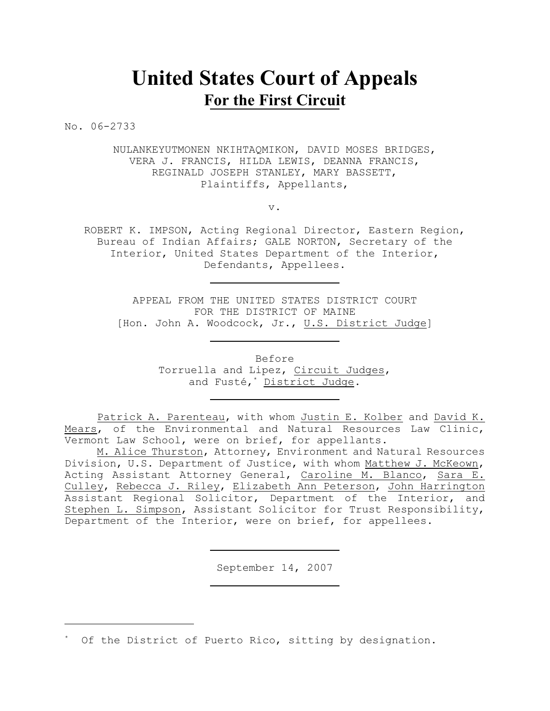# **United States Court of Appeals For the First Circuit**

No. 06-2733

NULANKEYUTMONEN NKIHTAQMIKON, DAVID MOSES BRIDGES, VERA J. FRANCIS, HILDA LEWIS, DEANNA FRANCIS, REGINALD JOSEPH STANLEY, MARY BASSETT, Plaintiffs, Appellants,

v.

ROBERT K. IMPSON, Acting Regional Director, Eastern Region, Bureau of Indian Affairs; GALE NORTON, Secretary of the Interior, United States Department of the Interior, Defendants, Appellees.

APPEAL FROM THE UNITED STATES DISTRICT COURT FOR THE DISTRICT OF MAINE [Hon. John A. Woodcock, Jr., U.S. District Judge]

> Before Torruella and Lipez, Circuit Judges, and Fusté,\* District Judge.

Patrick A. Parenteau, with whom Justin E. Kolber and David K. Mears, of the Environmental and Natural Resources Law Clinic, Vermont Law School, were on brief, for appellants.

M. Alice Thurston, Attorney, Environment and Natural Resources Division, U.S. Department of Justice, with whom Matthew J. McKeown, Acting Assistant Attorney General, Caroline M. Blanco, Sara E. Culley, Rebecca J. Riley, Elizabeth Ann Peterson, John Harrington Assistant Regional Solicitor, Department of the Interior, and Stephen L. Simpson, Assistant Solicitor for Trust Responsibility, Department of the Interior, were on brief, for appellees.

September 14, 2007

Of the District of Puerto Rico, sitting by designation.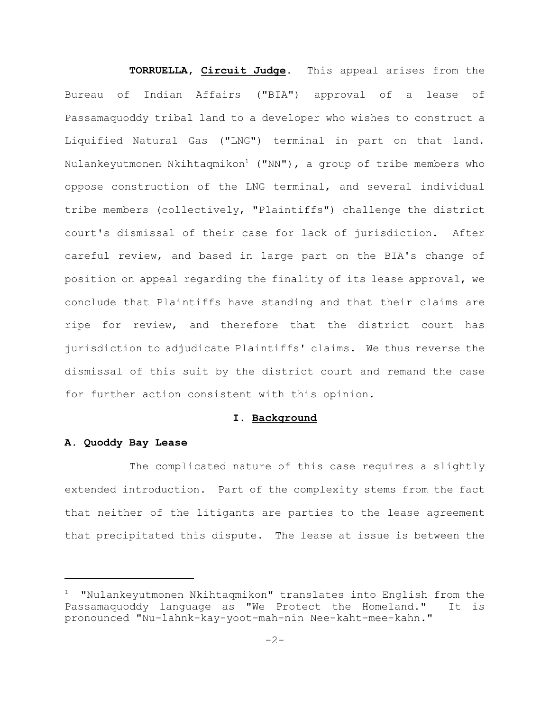**TORRUELLA, Circuit Judge.** This appeal arises from the Bureau of Indian Affairs ("BIA") approval of a lease of Passamaquoddy tribal land to a developer who wishes to construct a Liquified Natural Gas ("LNG") terminal in part on that land. Nulankeyutmonen Nkihtaqmikon<sup>1</sup> ("NN"), a group of tribe members who oppose construction of the LNG terminal, and several individual tribe members (collectively, "Plaintiffs") challenge the district court's dismissal of their case for lack of jurisdiction. After careful review, and based in large part on the BIA's change of position on appeal regarding the finality of its lease approval, we conclude that Plaintiffs have standing and that their claims are ripe for review, and therefore that the district court has jurisdiction to adjudicate Plaintiffs' claims. We thus reverse the dismissal of this suit by the district court and remand the case for further action consistent with this opinion.

## **I. Background**

## **A. Quoddy Bay Lease**

The complicated nature of this case requires a slightly extended introduction. Part of the complexity stems from the fact that neither of the litigants are parties to the lease agreement that precipitated this dispute. The lease at issue is between the

 $1$  "Nulankeyutmonen Nkihtaqmikon" translates into English from the Passamaquoddy language as "We Protect the Homeland." It is pronounced "Nu-lahnk-kay-yoot-mah-nin Nee-kaht-mee-kahn."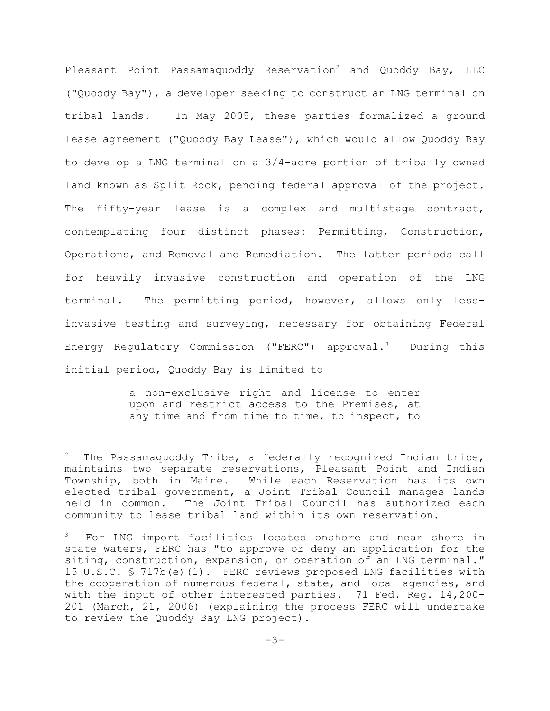Pleasant Point Passamaquoddy Reservation<sup>2</sup> and Quoddy Bay, LLC ("Quoddy Bay"), a developer seeking to construct an LNG terminal on tribal lands. In May 2005, these parties formalized a ground lease agreement ("Quoddy Bay Lease"), which would allow Quoddy Bay to develop a LNG terminal on a 3/4-acre portion of tribally owned land known as Split Rock, pending federal approval of the project. The fifty-year lease is a complex and multistage contract, contemplating four distinct phases: Permitting, Construction, Operations, and Removal and Remediation. The latter periods call for heavily invasive construction and operation of the LNG terminal. The permitting period, however, allows only lessinvasive testing and surveying, necessary for obtaining Federal Energy Regulatory Commission ("FERC") approval.<sup>3</sup> During this initial period, Quoddy Bay is limited to

> a non-exclusive right and license to enter upon and restrict access to the Premises, at any time and from time to time, to inspect, to

 $2$  The Passamaquoddy Tribe, a federally recognized Indian tribe, maintains two separate reservations, Pleasant Point and Indian Township, both in Maine. While each Reservation has its own elected tribal government, a Joint Tribal Council manages lands held in common. The Joint Tribal Council has authorized each community to lease tribal land within its own reservation.

For LNG import facilities located onshore and near shore in state waters, FERC has "to approve or deny an application for the siting, construction, expansion, or operation of an LNG terminal." 15 U.S.C. § 717b(e)(1). FERC reviews proposed LNG facilities with the cooperation of numerous federal, state, and local agencies, and with the input of other interested parties. 71 Fed. Reg. 14,200- 201 (March, 21, 2006) (explaining the process FERC will undertake to review the Quoddy Bay LNG project).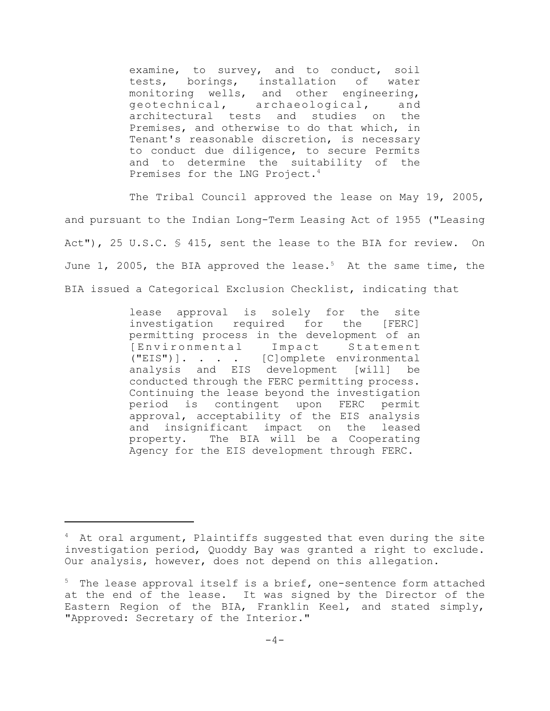examine, to survey, and to conduct, soil tests, borings, installation of water monitoring wells, and other engineering, geotechnical, archaeological, and architectural tests and studies on the Premises, and otherwise to do that which, in Tenant's reasonable discretion, is necessary to conduct due diligence, to secure Permits and to determine the suitability of the Premises for the LNG Project.<sup>4</sup>

The Tribal Council approved the lease on May 19, 2005, and pursuant to the Indian Long-Term Leasing Act of 1955 ("Leasing Act"), 25 U.S.C. § 415, sent the lease to the BIA for review. On June 1, 2005, the BIA approved the lease.<sup>5</sup> At the same time, the BIA issued a Categorical Exclusion Checklist, indicating that

> lease approval is solely for the site investigation required for the [FERC] permitting process in the development of an [Environmental Impact Statement ("EIS")]. . . . [C]omplete environmental analysis and EIS development [will] be conducted through the FERC permitting process. Continuing the lease beyond the investigation period is contingent upon FERC permit approval, acceptability of the EIS analysis and insignificant impact on the leased property. The BIA will be a Cooperating Agency for the EIS development through FERC.

 $4$  At oral argument, Plaintiffs suggested that even during the site investigation period, Quoddy Bay was granted a right to exclude. Our analysis, however, does not depend on this allegation.

 $5$  The lease approval itself is a brief, one-sentence form attached at the end of the lease. It was signed by the Director of the Eastern Region of the BIA, Franklin Keel, and stated simply, "Approved: Secretary of the Interior."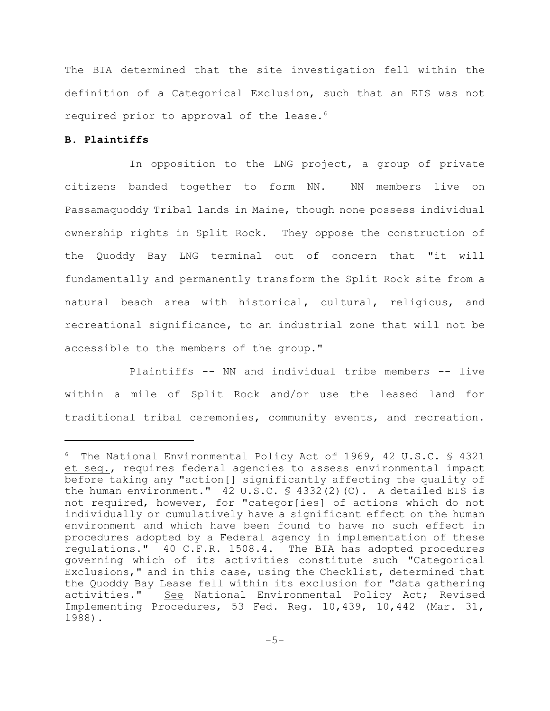The BIA determined that the site investigation fell within the definition of a Categorical Exclusion, such that an EIS was not required prior to approval of the lease.<sup>6</sup>

# **B. Plaintiffs**

In opposition to the LNG project, a group of private citizens banded together to form NN. NN members live on Passamaquoddy Tribal lands in Maine, though none possess individual ownership rights in Split Rock. They oppose the construction of the Quoddy Bay LNG terminal out of concern that "it will fundamentally and permanently transform the Split Rock site from a natural beach area with historical, cultural, religious, and recreational significance, to an industrial zone that will not be accessible to the members of the group."

Plaintiffs -- NN and individual tribe members -- live within a mile of Split Rock and/or use the leased land for traditional tribal ceremonies, community events, and recreation.

 $6$  The National Environmental Policy Act of 1969, 42 U.S.C.  $$$  4321 et seq., requires federal agencies to assess environmental impact before taking any "action[] significantly affecting the quality of the human environment." 42 U.S.C. § 4332(2)(C). A detailed EIS is not required, however, for "categor[ies] of actions which do not individually or cumulatively have a significant effect on the human environment and which have been found to have no such effect in procedures adopted by a Federal agency in implementation of these regulations." 40 C.F.R. 1508.4. The BIA has adopted procedures governing which of its activities constitute such "Categorical Exclusions," and in this case, using the Checklist, determined that the Quoddy Bay Lease fell within its exclusion for "data gathering activities." See National Environmental Policy Act; Revised Implementing Procedures, 53 Fed. Reg. 10,439, 10,442 (Mar. 31, 1988).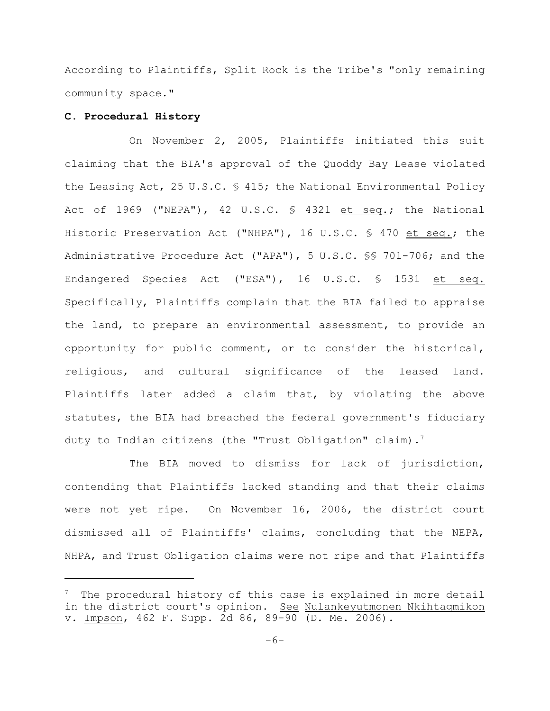According to Plaintiffs, Split Rock is the Tribe's "only remaining community space."

## **C. Procedural History**

On November 2, 2005, Plaintiffs initiated this suit claiming that the BIA's approval of the Quoddy Bay Lease violated the Leasing Act, 25 U.S.C. § 415; the National Environmental Policy Act of 1969 ("NEPA"), 42 U.S.C. § 4321 et seq.; the National Historic Preservation Act ("NHPA"), 16 U.S.C. § 470 et seq.; the Administrative Procedure Act ("APA"), 5 U.S.C. §§ 701-706; and the Endangered Species Act ("ESA"), 16 U.S.C. § 1531 et seq. Specifically, Plaintiffs complain that the BIA failed to appraise the land, to prepare an environmental assessment, to provide an opportunity for public comment, or to consider the historical, religious, and cultural significance of the leased land. Plaintiffs later added a claim that, by violating the above statutes, the BIA had breached the federal government's fiduciary duty to Indian citizens (the "Trust Obligation" claim).<sup>7</sup>

The BIA moved to dismiss for lack of jurisdiction, contending that Plaintiffs lacked standing and that their claims were not yet ripe. On November 16, 2006, the district court dismissed all of Plaintiffs' claims, concluding that the NEPA, NHPA, and Trust Obligation claims were not ripe and that Plaintiffs

 $\frac{7}{1}$  The procedural history of this case is explained in more detail in the district court's opinion. See Nulankeyutmonen Nkihtaqmikon v. Impson, 462 F. Supp. 2d 86, 89-90 (D. Me. 2006).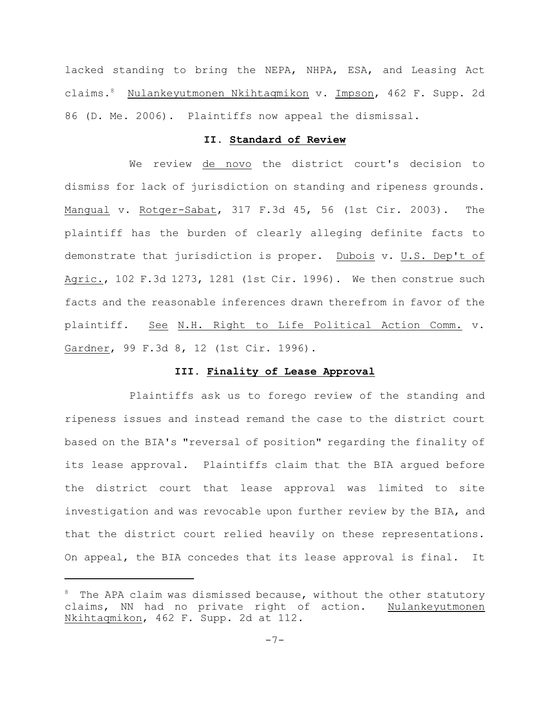lacked standing to bring the NEPA, NHPA, ESA, and Leasing Act claims.<sup>8</sup> Nulankeyutmonen Nkihtaqmikon v. Impson, 462 F. Supp. 2d 86 (D. Me. 2006). Plaintiffs now appeal the dismissal.

## **II. Standard of Review**

We review de novo the district court's decision to dismiss for lack of jurisdiction on standing and ripeness grounds. Mangual v. Rotger-Sabat, 317 F.3d 45, 56 (1st Cir. 2003). The plaintiff has the burden of clearly alleging definite facts to demonstrate that jurisdiction is proper. Dubois v. U.S. Dep't of Agric., 102 F.3d 1273, 1281 (1st Cir. 1996). We then construe such facts and the reasonable inferences drawn therefrom in favor of the plaintiff. See N.H. Right to Life Political Action Comm. v. Gardner, 99 F.3d 8, 12 (1st Cir. 1996).

## **III. Finality of Lease Approval**

Plaintiffs ask us to forego review of the standing and ripeness issues and instead remand the case to the district court based on the BIA's "reversal of position" regarding the finality of its lease approval. Plaintiffs claim that the BIA argued before the district court that lease approval was limited to site investigation and was revocable upon further review by the BIA, and that the district court relied heavily on these representations. On appeal, the BIA concedes that its lease approval is final. It

 $8$  The APA claim was dismissed because, without the other statutory claims, NN had no private right of action. Nulankeyutmonen Nkihtaqmikon, 462 F. Supp. 2d at 112.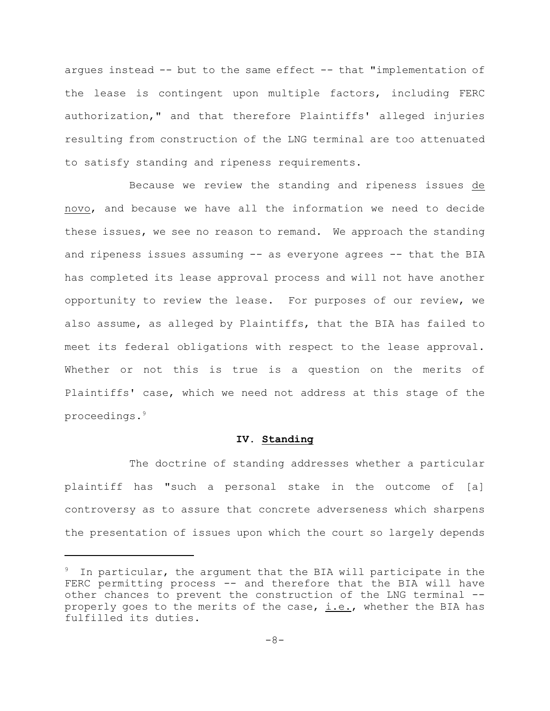argues instead -- but to the same effect -- that "implementation of the lease is contingent upon multiple factors, including FERC authorization," and that therefore Plaintiffs' alleged injuries resulting from construction of the LNG terminal are too attenuated to satisfy standing and ripeness requirements.

Because we review the standing and ripeness issues de novo, and because we have all the information we need to decide these issues, we see no reason to remand. We approach the standing and ripeness issues assuming -- as everyone agrees -- that the BIA has completed its lease approval process and will not have another opportunity to review the lease. For purposes of our review, we also assume, as alleged by Plaintiffs, that the BIA has failed to meet its federal obligations with respect to the lease approval. Whether or not this is true is a question on the merits of Plaintiffs' case, which we need not address at this stage of the proceedings.<sup>9</sup>

# **IV. Standing**

The doctrine of standing addresses whether a particular plaintiff has "such a personal stake in the outcome of [a] controversy as to assure that concrete adverseness which sharpens the presentation of issues upon which the court so largely depends

In particular, the argument that the BIA will participate in the FERC permitting process -- and therefore that the BIA will have other chances to prevent the construction of the LNG terminal - properly goes to the merits of the case,  $i.e.,$  whether the BIA has fulfilled its duties.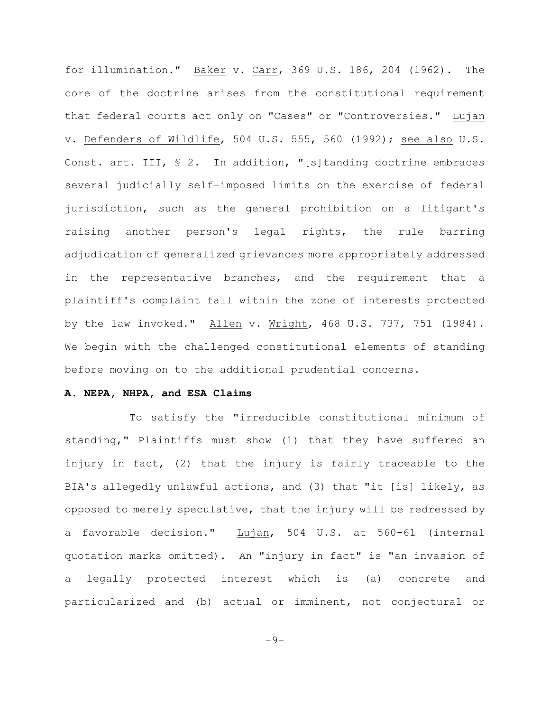for illumination." Baker v. Carr, 369 U.S. 186, 204 (1962). The core of the doctrine arises from the constitutional requirement that federal courts act only on "Cases" or "Controversies." Lujan v. Defenders of Wildlife, 504 U.S. 555, 560 (1992); see also U.S. Const. art. III, § 2. In addition, "[s]tanding doctrine embraces several judicially self-imposed limits on the exercise of federal jurisdiction, such as the general prohibition on a litigant's raising another person's legal rights, the rule barring adjudication of generalized grievances more appropriately addressed in the representative branches, and the requirement that a plaintiff's complaint fall within the zone of interests protected by the law invoked." Allen v. Wright, 468 U.S. 737, 751 (1984). We begin with the challenged constitutional elements of standing before moving on to the additional prudential concerns.

#### **A. NEPA, NHPA, and ESA Claims**

To satisfy the "irreducible constitutional minimum of standing," Plaintiffs must show (1) that they have suffered an injury in fact, (2) that the injury is fairly traceable to the BIA's allegedly unlawful actions, and (3) that "it [is] likely, as opposed to merely speculative, that the injury will be redressed by a favorable decision." Lujan, 504 U.S. at 560-61 (internal quotation marks omitted). An "injury in fact" is "an invasion of a legally protected interest which is (a) concrete and particularized and (b) actual or imminent, not conjectural or

 $-9-$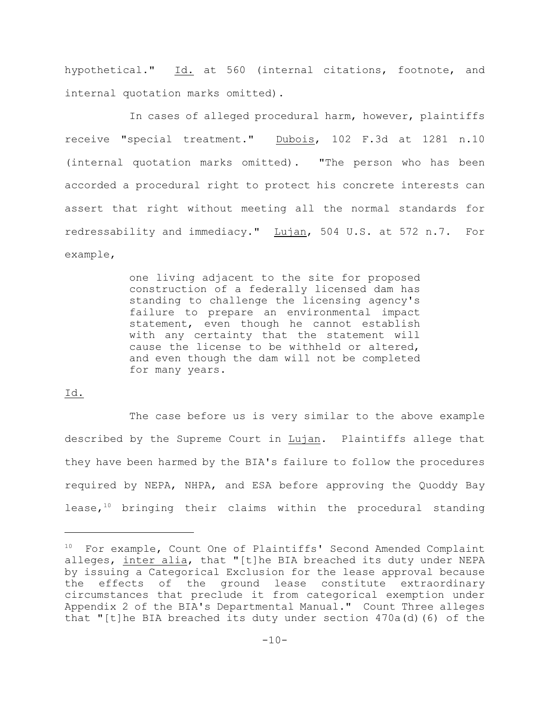hypothetical." Id. at 560 (internal citations, footnote, and internal quotation marks omitted).

In cases of alleged procedural harm, however, plaintiffs receive "special treatment." Dubois, 102 F.3d at 1281 n.10 (internal quotation marks omitted). "The person who has been accorded a procedural right to protect his concrete interests can assert that right without meeting all the normal standards for redressability and immediacy." Lujan, 504 U.S. at 572 n.7. For example,

> one living adjacent to the site for proposed construction of a federally licensed dam has standing to challenge the licensing agency's failure to prepare an environmental impact statement, even though he cannot establish with any certainty that the statement will cause the license to be withheld or altered, and even though the dam will not be completed for many years.

# Id.

The case before us is very similar to the above example described by the Supreme Court in Lujan. Plaintiffs allege that they have been harmed by the BIA's failure to follow the procedures required by NEPA, NHPA, and ESA before approving the Quoddy Bay lease,  $10$  bringing their claims within the procedural standing

 $10$  For example, Count One of Plaintiffs' Second Amended Complaint alleges, inter alia, that "[t]he BIA breached its duty under NEPA by issuing a Categorical Exclusion for the lease approval because the effects of the ground lease constitute extraordinary circumstances that preclude it from categorical exemption under Appendix 2 of the BIA's Departmental Manual." Count Three alleges that "[t]he BIA breached its duty under section  $470a(d)$  (6) of the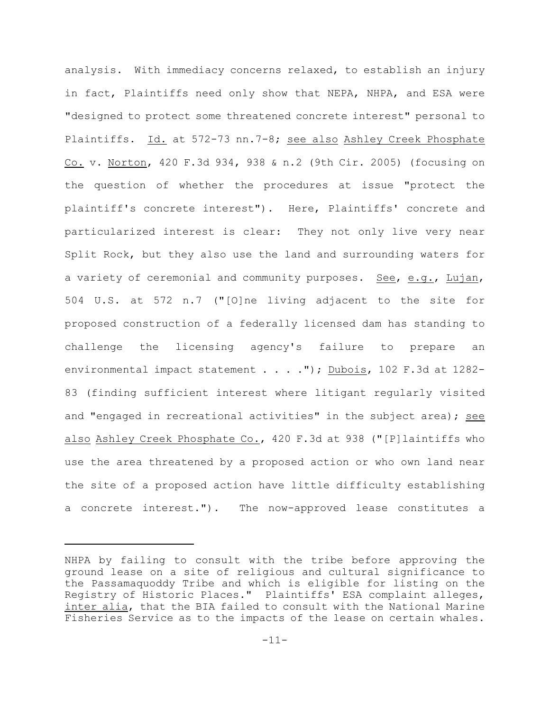analysis. With immediacy concerns relaxed, to establish an injury in fact, Plaintiffs need only show that NEPA, NHPA, and ESA were "designed to protect some threatened concrete interest" personal to Plaintiffs. Id. at 572-73 nn.7-8; see also Ashley Creek Phosphate Co. v. Norton, 420 F.3d 934, 938 & n.2 (9th Cir. 2005) (focusing on the question of whether the procedures at issue "protect the plaintiff's concrete interest"). Here, Plaintiffs' concrete and particularized interest is clear: They not only live very near Split Rock, but they also use the land and surrounding waters for a variety of ceremonial and community purposes. See, e.g., Lujan, 504 U.S. at 572 n.7 ("[O]ne living adjacent to the site for proposed construction of a federally licensed dam has standing to challenge the licensing agency's failure to prepare an environmental impact statement . . . . "); Dubois, 102 F.3d at 1282-83 (finding sufficient interest where litigant regularly visited and "engaged in recreational activities" in the subject area); see also Ashley Creek Phosphate Co., 420 F.3d at 938 ("[P]laintiffs who use the area threatened by a proposed action or who own land near the site of a proposed action have little difficulty establishing a concrete interest."). The now-approved lease constitutes a

NHPA by failing to consult with the tribe before approving the ground lease on a site of religious and cultural significance to the Passamaquoddy Tribe and which is eligible for listing on the Registry of Historic Places." Plaintiffs' ESA complaint alleges, inter alia, that the BIA failed to consult with the National Marine Fisheries Service as to the impacts of the lease on certain whales.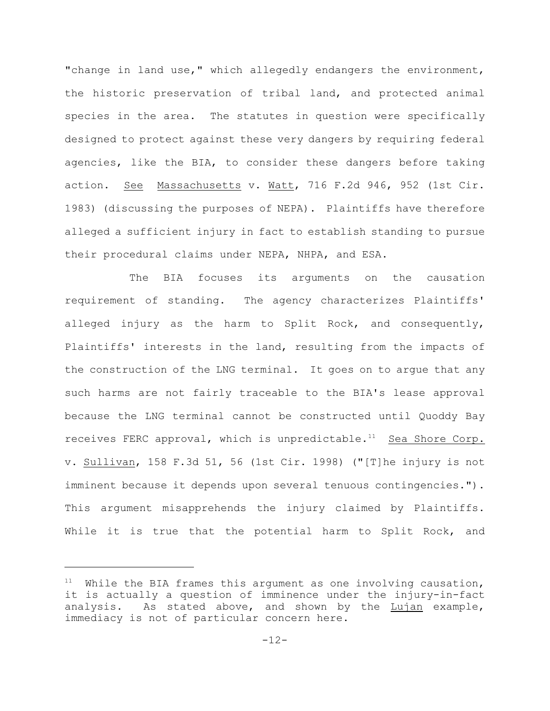"change in land use," which allegedly endangers the environment, the historic preservation of tribal land, and protected animal species in the area. The statutes in question were specifically designed to protect against these very dangers by requiring federal agencies, like the BIA, to consider these dangers before taking action. See Massachusetts v. Watt, 716 F.2d 946, 952 (1st Cir. 1983) (discussing the purposes of NEPA). Plaintiffs have therefore alleged a sufficient injury in fact to establish standing to pursue their procedural claims under NEPA, NHPA, and ESA.

The BIA focuses its arguments on the causation requirement of standing. The agency characterizes Plaintiffs' alleged injury as the harm to Split Rock, and consequently, Plaintiffs' interests in the land, resulting from the impacts of the construction of the LNG terminal. It goes on to argue that any such harms are not fairly traceable to the BIA's lease approval because the LNG terminal cannot be constructed until Quoddy Bay receives FERC approval, which is unpredictable.<sup>11</sup> Sea Shore Corp. v. Sullivan, 158 F.3d 51, 56 (1st Cir. 1998) ("[T]he injury is not imminent because it depends upon several tenuous contingencies."). This argument misapprehends the injury claimed by Plaintiffs. While it is true that the potential harm to Split Rock, and

 $11$  While the BIA frames this argument as one involving causation, it is actually a question of imminence under the injury-in-fact analysis. As stated above, and shown by the Lujan example, immediacy is not of particular concern here.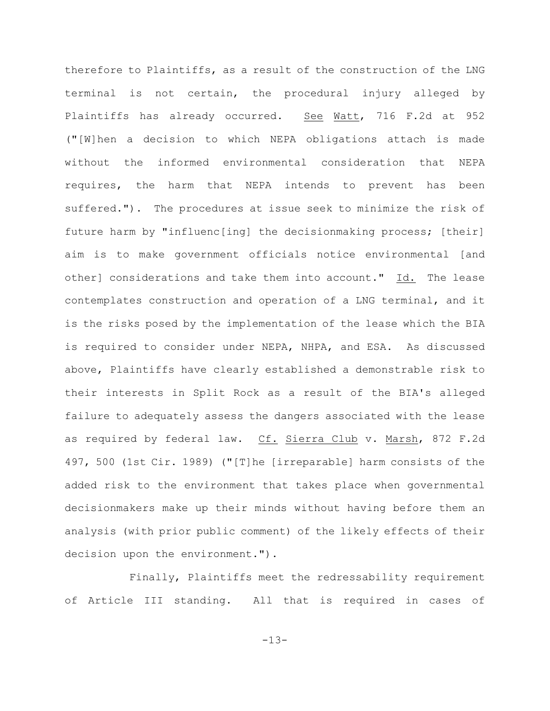therefore to Plaintiffs, as a result of the construction of the LNG terminal is not certain, the procedural injury alleged by Plaintiffs has already occurred. See Watt, 716 F.2d at 952 ("[W]hen a decision to which NEPA obligations attach is made without the informed environmental consideration that NEPA requires, the harm that NEPA intends to prevent has been suffered."). The procedures at issue seek to minimize the risk of future harm by "influenc[ing] the decisionmaking process; [their] aim is to make government officials notice environmental [and other] considerations and take them into account." Id. The lease contemplates construction and operation of a LNG terminal, and it is the risks posed by the implementation of the lease which the BIA is required to consider under NEPA, NHPA, and ESA. As discussed above, Plaintiffs have clearly established a demonstrable risk to their interests in Split Rock as a result of the BIA's alleged failure to adequately assess the dangers associated with the lease as required by federal law. Cf. Sierra Club v. Marsh, 872 F.2d 497, 500 (1st Cir. 1989) ("[T]he [irreparable] harm consists of the added risk to the environment that takes place when governmental decisionmakers make up their minds without having before them an analysis (with prior public comment) of the likely effects of their decision upon the environment.").

Finally, Plaintiffs meet the redressability requirement of Article III standing. All that is required in cases of

-13-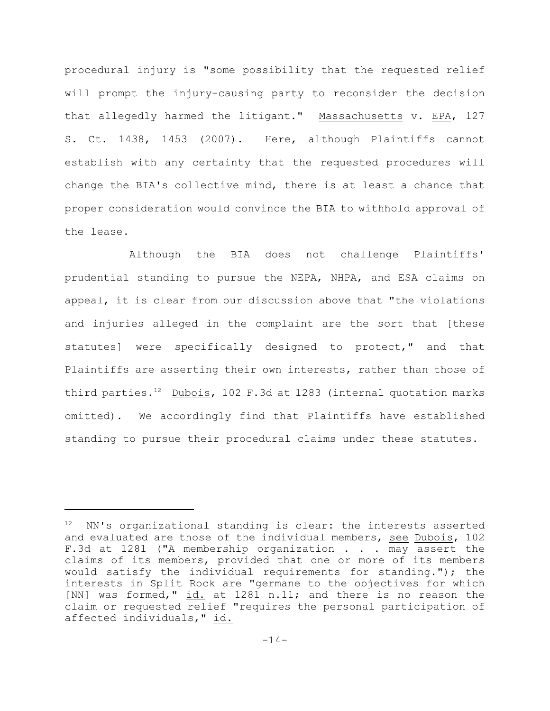procedural injury is "some possibility that the requested relief will prompt the injury-causing party to reconsider the decision that allegedly harmed the litigant." Massachusetts v. EPA, 127 S. Ct. 1438, 1453 (2007). Here, although Plaintiffs cannot establish with any certainty that the requested procedures will change the BIA's collective mind, there is at least a chance that proper consideration would convince the BIA to withhold approval of the lease.

Although the BIA does not challenge Plaintiffs' prudential standing to pursue the NEPA, NHPA, and ESA claims on appeal, it is clear from our discussion above that "the violations and injuries alleged in the complaint are the sort that [these statutes] were specifically designed to protect," and that Plaintiffs are asserting their own interests, rather than those of third parties.<sup>12</sup> Dubois, 102 F.3d at 1283 (internal quotation marks omitted). We accordingly find that Plaintiffs have established standing to pursue their procedural claims under these statutes.

 $12$  NN's organizational standing is clear: the interests asserted and evaluated are those of the individual members, see Dubois, 102 F.3d at 1281 ("A membership organization . . . may assert the claims of its members, provided that one or more of its members would satisfy the individual requirements for standing."); the interests in Split Rock are "germane to the objectives for which [NN] was formed," id. at 1281 n.11; and there is no reason the claim or requested relief "requires the personal participation of affected individuals," id.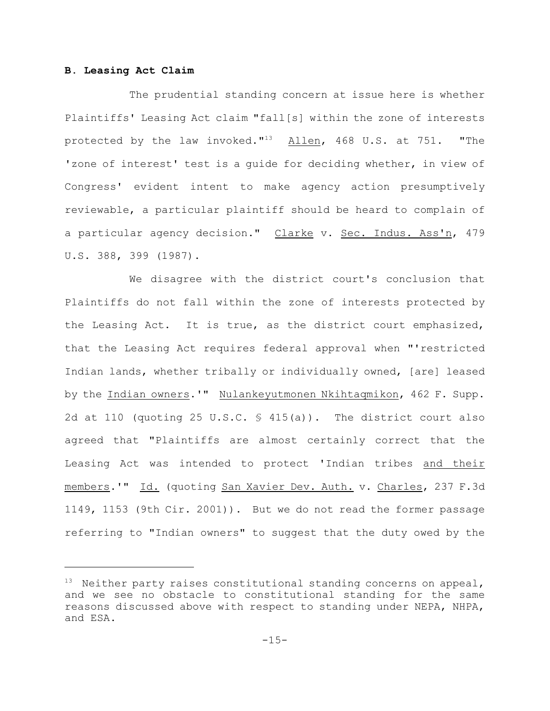# **B. Leasing Act Claim**

The prudential standing concern at issue here is whether Plaintiffs' Leasing Act claim "fall[s] within the zone of interests protected by the law invoked. $13$  Allen, 468 U.S. at 751. "The 'zone of interest' test is a guide for deciding whether, in view of Congress' evident intent to make agency action presumptively reviewable, a particular plaintiff should be heard to complain of a particular agency decision." Clarke v. Sec. Indus. Ass'n, 479 U.S. 388, 399 (1987).

We disagree with the district court's conclusion that Plaintiffs do not fall within the zone of interests protected by the Leasing Act. It is true, as the district court emphasized, that the Leasing Act requires federal approval when "'restricted Indian lands, whether tribally or individually owned, [are] leased by the Indian owners.'" Nulankeyutmonen Nkihtaqmikon, 462 F. Supp. 2d at 110 (quoting 25 U.S.C. § 415(a)). The district court also agreed that "Plaintiffs are almost certainly correct that the Leasing Act was intended to protect 'Indian tribes and their members.'" Id. (quoting San Xavier Dev. Auth. v. Charles, 237 F.3d 1149, 1153 (9th Cir. 2001)). But we do not read the former passage referring to "Indian owners" to suggest that the duty owed by the

 $13$  Neither party raises constitutional standing concerns on appeal, and we see no obstacle to constitutional standing for the same reasons discussed above with respect to standing under NEPA, NHPA, and ESA.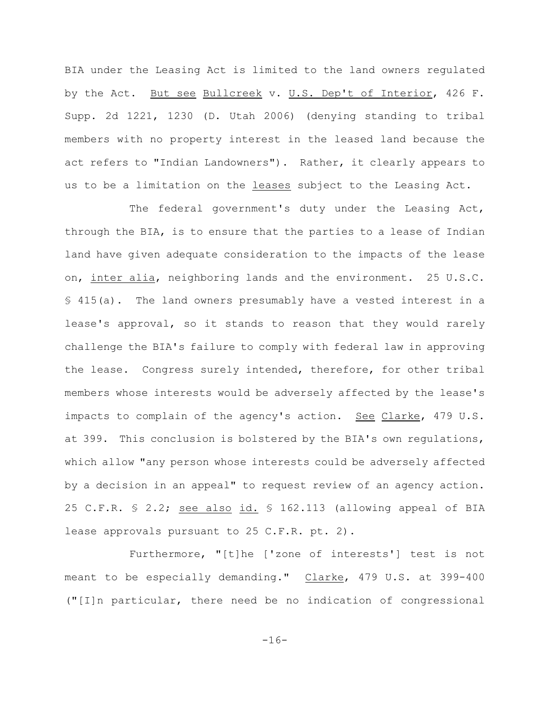BIA under the Leasing Act is limited to the land owners regulated by the Act. But see Bullcreek v. U.S. Dep't of Interior, 426 F. Supp. 2d 1221, 1230 (D. Utah 2006) (denying standing to tribal members with no property interest in the leased land because the act refers to "Indian Landowners"). Rather, it clearly appears to us to be a limitation on the leases subject to the Leasing Act.

The federal government's duty under the Leasing Act, through the BIA, is to ensure that the parties to a lease of Indian land have given adequate consideration to the impacts of the lease on, inter alia, neighboring lands and the environment. 25 U.S.C. § 415(a). The land owners presumably have a vested interest in a lease's approval, so it stands to reason that they would rarely challenge the BIA's failure to comply with federal law in approving the lease. Congress surely intended, therefore, for other tribal members whose interests would be adversely affected by the lease's impacts to complain of the agency's action. See Clarke, 479 U.S. at 399. This conclusion is bolstered by the BIA's own regulations, which allow "any person whose interests could be adversely affected by a decision in an appeal" to request review of an agency action. 25 C.F.R. § 2.2; see also id. § 162.113 (allowing appeal of BIA lease approvals pursuant to 25 C.F.R. pt. 2).

Furthermore, "[t]he ['zone of interests'] test is not meant to be especially demanding." Clarke, 479 U.S. at 399-400 ("[I]n particular, there need be no indication of congressional

-16-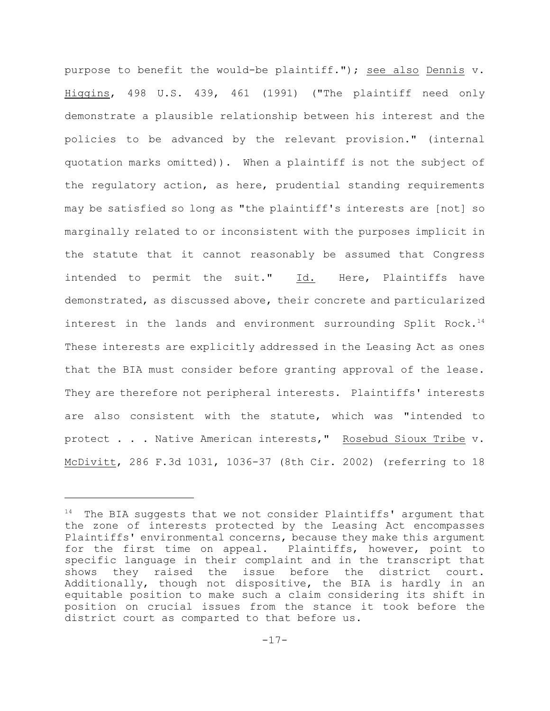purpose to benefit the would-be plaintiff."); see also Dennis v. Higgins, 498 U.S. 439, 461 (1991) ("The plaintiff need only demonstrate a plausible relationship between his interest and the policies to be advanced by the relevant provision." (internal quotation marks omitted)). When a plaintiff is not the subject of the regulatory action, as here, prudential standing requirements may be satisfied so long as "the plaintiff's interests are [not] so marginally related to or inconsistent with the purposes implicit in the statute that it cannot reasonably be assumed that Congress intended to permit the suit." Id. Here, Plaintiffs have demonstrated, as discussed above, their concrete and particularized interest in the lands and environment surrounding Split Rock.<sup>14</sup> These interests are explicitly addressed in the Leasing Act as ones that the BIA must consider before granting approval of the lease. They are therefore not peripheral interests. Plaintiffs' interests are also consistent with the statute, which was "intended to protect . . . Native American interests," Rosebud Sioux Tribe v. McDivitt, 286 F.3d 1031, 1036-37 (8th Cir. 2002) (referring to 18

 $14$  The BIA suggests that we not consider Plaintiffs' argument that the zone of interests protected by the Leasing Act encompasses Plaintiffs' environmental concerns, because they make this argument for the first time on appeal. Plaintiffs, however, point to specific language in their complaint and in the transcript that shows they raised the issue before the district court. Additionally, though not dispositive, the BIA is hardly in an equitable position to make such a claim considering its shift in position on crucial issues from the stance it took before the district court as comparted to that before us.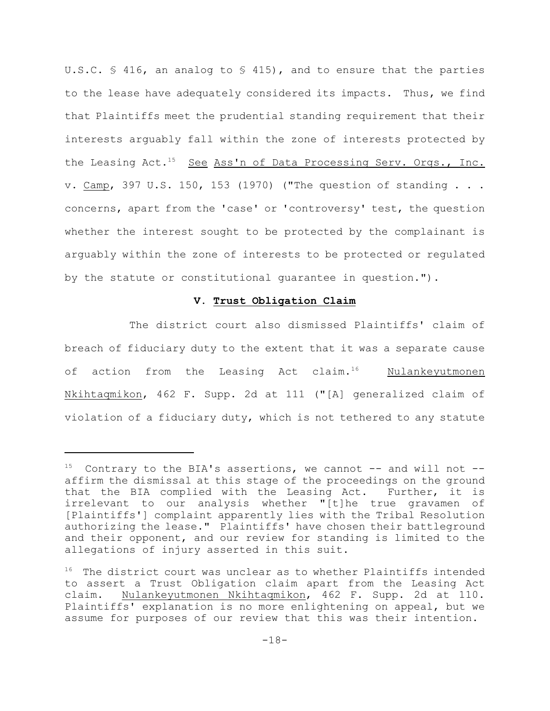U.S.C.  $\frac{1}{5}$  416, an analog to  $\frac{1}{5}$  415), and to ensure that the parties to the lease have adequately considered its impacts. Thus, we find that Plaintiffs meet the prudential standing requirement that their interests arguably fall within the zone of interests protected by the Leasing Act.<sup>15</sup> See Ass'n of Data Processing Serv. Orgs., Inc. v. Camp, 397 U.S. 150, 153 (1970) ("The question of standing . . . concerns, apart from the 'case' or 'controversy' test, the question whether the interest sought to be protected by the complainant is arguably within the zone of interests to be protected or regulated by the statute or constitutional guarantee in question.").

## **V. Trust Obligation Claim**

The district court also dismissed Plaintiffs' claim of breach of fiduciary duty to the extent that it was a separate cause of action from the Leasing Act claim.<sup>16</sup> Nulankeyutmonen Nkihtaqmikon, 462 F. Supp. 2d at 111 ("[A] generalized claim of violation of a fiduciary duty, which is not tethered to any statute

 $15$  Contrary to the BIA's assertions, we cannot -- and will not -affirm the dismissal at this stage of the proceedings on the ground that the BIA complied with the Leasing Act. Further, it is irrelevant to our analysis whether "[t]he true gravamen of [Plaintiffs'] complaint apparently lies with the Tribal Resolution authorizing the lease." Plaintiffs' have chosen their battleground and their opponent, and our review for standing is limited to the allegations of injury asserted in this suit.

 $16$  The district court was unclear as to whether Plaintiffs intended to assert a Trust Obligation claim apart from the Leasing Act claim. Nulankeyutmonen Nkihtaqmikon, 462 F. Supp. 2d at 110. Plaintiffs' explanation is no more enlightening on appeal, but we assume for purposes of our review that this was their intention.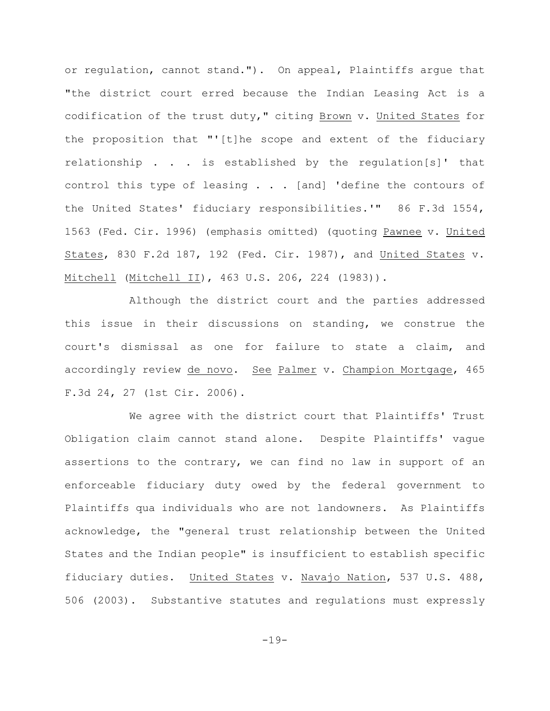or regulation, cannot stand."). On appeal, Plaintiffs argue that "the district court erred because the Indian Leasing Act is a codification of the trust duty," citing Brown v. United States for the proposition that "'[t]he scope and extent of the fiduciary relationship . . . is established by the regulation[s]' that control this type of leasing . . . [and] 'define the contours of the United States' fiduciary responsibilities.'" 86 F.3d 1554, 1563 (Fed. Cir. 1996) (emphasis omitted) (quoting Pawnee v. United States, 830 F.2d 187, 192 (Fed. Cir. 1987), and United States v. Mitchell (Mitchell II), 463 U.S. 206, 224 (1983)).

Although the district court and the parties addressed this issue in their discussions on standing, we construe the court's dismissal as one for failure to state a claim, and accordingly review de novo. See Palmer v. Champion Mortgage, 465 F.3d 24, 27 (1st Cir. 2006).

We agree with the district court that Plaintiffs' Trust Obligation claim cannot stand alone. Despite Plaintiffs' vague assertions to the contrary, we can find no law in support of an enforceable fiduciary duty owed by the federal government to Plaintiffs qua individuals who are not landowners. As Plaintiffs acknowledge, the "general trust relationship between the United States and the Indian people" is insufficient to establish specific fiduciary duties. United States v. Navajo Nation, 537 U.S. 488, 506 (2003). Substantive statutes and regulations must expressly

-19-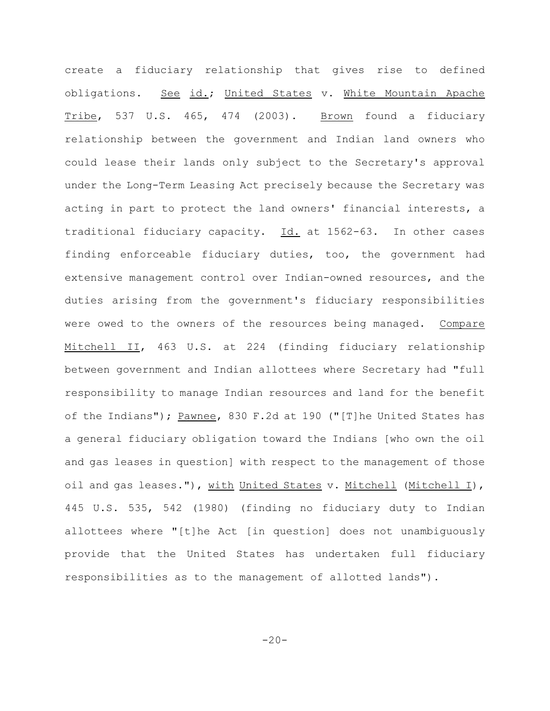create a fiduciary relationship that gives rise to defined obligations. See id.; United States v. White Mountain Apache Tribe, 537 U.S. 465, 474 (2003). Brown found a fiduciary relationship between the government and Indian land owners who could lease their lands only subject to the Secretary's approval under the Long-Term Leasing Act precisely because the Secretary was acting in part to protect the land owners' financial interests, a traditional fiduciary capacity. Id. at 1562-63. In other cases finding enforceable fiduciary duties, too, the government had extensive management control over Indian-owned resources, and the duties arising from the government's fiduciary responsibilities were owed to the owners of the resources being managed. Compare Mitchell II, 463 U.S. at 224 (finding fiduciary relationship between government and Indian allottees where Secretary had "full responsibility to manage Indian resources and land for the benefit of the Indians"); Pawnee, 830 F.2d at 190 ("[T]he United States has a general fiduciary obligation toward the Indians [who own the oil and gas leases in question] with respect to the management of those oil and gas leases."), with United States v. Mitchell (Mitchell I), 445 U.S. 535, 542 (1980) (finding no fiduciary duty to Indian allottees where "[t]he Act [in question] does not unambiguously provide that the United States has undertaken full fiduciary responsibilities as to the management of allotted lands").

 $-20-$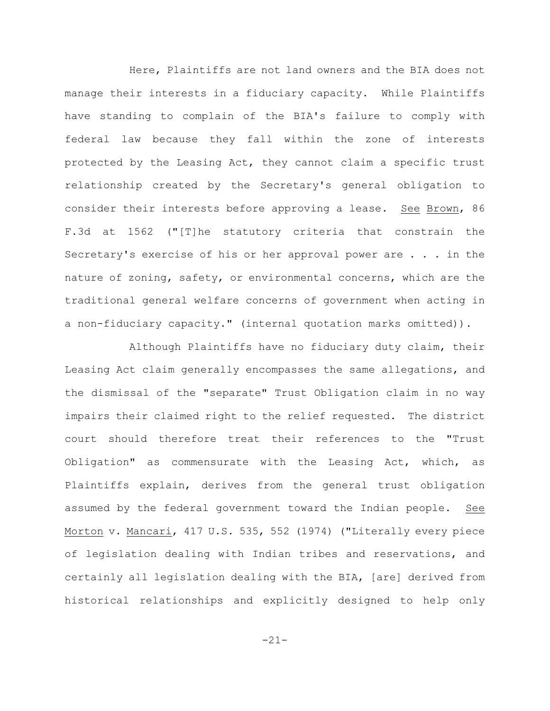Here, Plaintiffs are not land owners and the BIA does not manage their interests in a fiduciary capacity. While Plaintiffs have standing to complain of the BIA's failure to comply with federal law because they fall within the zone of interests protected by the Leasing Act, they cannot claim a specific trust relationship created by the Secretary's general obligation to consider their interests before approving a lease. See Brown, 86 F.3d at 1562 ("[T]he statutory criteria that constrain the Secretary's exercise of his or her approval power are . . . in the nature of zoning, safety, or environmental concerns, which are the traditional general welfare concerns of government when acting in a non-fiduciary capacity." (internal quotation marks omitted)).

Although Plaintiffs have no fiduciary duty claim, their Leasing Act claim generally encompasses the same allegations, and the dismissal of the "separate" Trust Obligation claim in no way impairs their claimed right to the relief requested. The district court should therefore treat their references to the "Trust Obligation" as commensurate with the Leasing Act, which, as Plaintiffs explain, derives from the general trust obligation assumed by the federal government toward the Indian people. See Morton v. Mancari, 417 U.S. 535, 552 (1974) ("Literally every piece of legislation dealing with Indian tribes and reservations, and certainly all legislation dealing with the BIA, [are] derived from historical relationships and explicitly designed to help only

-21-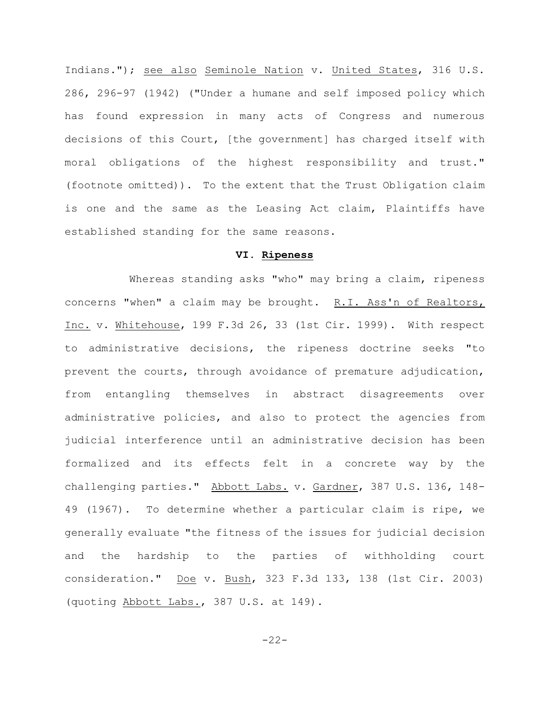Indians."); see also Seminole Nation v. United States, 316 U.S. 286, 296-97 (1942) ("Under a humane and self imposed policy which has found expression in many acts of Congress and numerous decisions of this Court, [the government] has charged itself with moral obligations of the highest responsibility and trust." (footnote omitted)). To the extent that the Trust Obligation claim is one and the same as the Leasing Act claim, Plaintiffs have established standing for the same reasons.

## **VI. Ripeness**

Whereas standing asks "who" may bring a claim, ripeness concerns "when" a claim may be brought. R.I. Ass'n of Realtors, Inc. v. Whitehouse, 199 F.3d 26, 33 (1st Cir. 1999). With respect to administrative decisions, the ripeness doctrine seeks "to prevent the courts, through avoidance of premature adjudication, from entangling themselves in abstract disagreements over administrative policies, and also to protect the agencies from judicial interference until an administrative decision has been formalized and its effects felt in a concrete way by the challenging parties." Abbott Labs. v. Gardner, 387 U.S. 136, 148- 49 (1967). To determine whether a particular claim is ripe, we generally evaluate "the fitness of the issues for judicial decision and the hardship to the parties of withholding court consideration." Doe v. Bush, 323 F.3d 133, 138 (1st Cir. 2003) (quoting Abbott Labs., 387 U.S. at 149).

-22-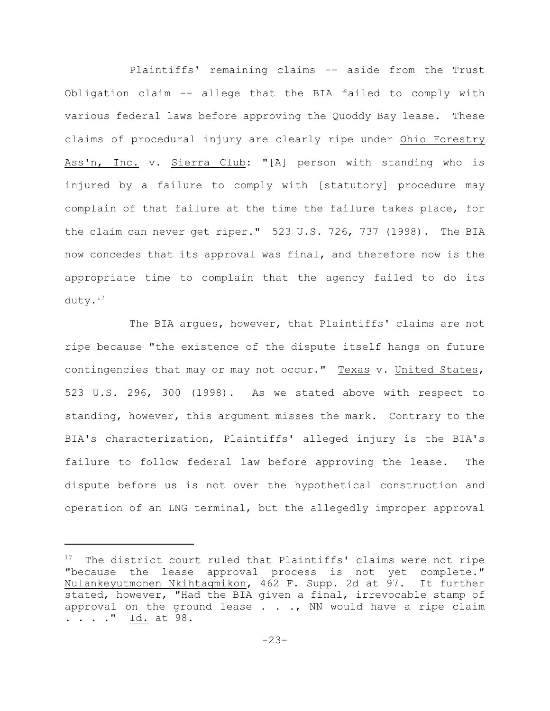Plaintiffs' remaining claims -- aside from the Trust Obligation claim -- allege that the BIA failed to comply with various federal laws before approving the Quoddy Bay lease. These claims of procedural injury are clearly ripe under Ohio Forestry Ass'n, Inc. v. Sierra Club: "[A] person with standing who is injured by a failure to comply with [statutory] procedure may complain of that failure at the time the failure takes place, for the claim can never get riper." 523 U.S. 726, 737 (1998). The BIA now concedes that its approval was final, and therefore now is the appropriate time to complain that the agency failed to do its duty. $17$ 

The BIA argues, however, that Plaintiffs' claims are not ripe because "the existence of the dispute itself hangs on future contingencies that may or may not occur." Texas v. United States, 523 U.S. 296, 300 (1998). As we stated above with respect to standing, however, this argument misses the mark. Contrary to the BIA's characterization, Plaintiffs' alleged injury is the BIA's failure to follow federal law before approving the lease. The dispute before us is not over the hypothetical construction and operation of an LNG terminal, but the allegedly improper approval

 $17$  The district court ruled that Plaintiffs' claims were not ripe "because the lease approval process is not yet complete." Nulankeyutmonen Nkihtaqmikon, 462 F. Supp. 2d at 97. It further stated, however, "Had the BIA given a final, irrevocable stamp of approval on the ground lease  $\ldots$ , NN would have a ripe claim . . . . " Id. at 98.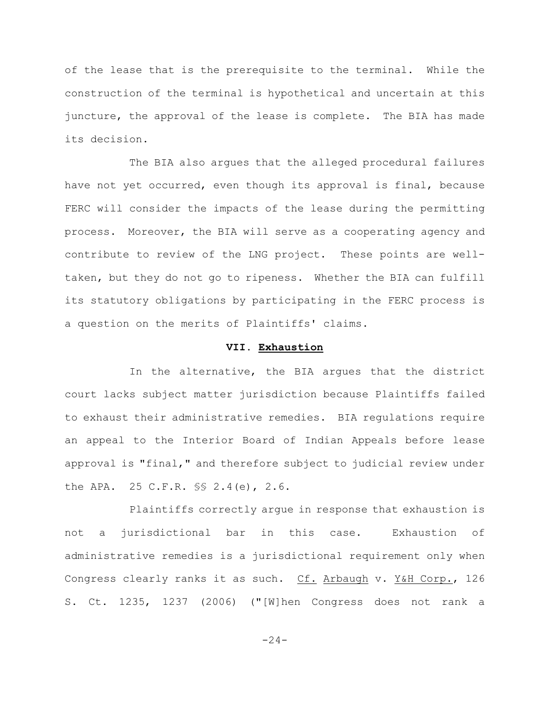of the lease that is the prerequisite to the terminal. While the construction of the terminal is hypothetical and uncertain at this juncture, the approval of the lease is complete. The BIA has made its decision.

The BIA also argues that the alleged procedural failures have not yet occurred, even though its approval is final, because FERC will consider the impacts of the lease during the permitting process. Moreover, the BIA will serve as a cooperating agency and contribute to review of the LNG project. These points are welltaken, but they do not go to ripeness. Whether the BIA can fulfill its statutory obligations by participating in the FERC process is a question on the merits of Plaintiffs' claims.

# **VII. Exhaustion**

In the alternative, the BIA argues that the district court lacks subject matter jurisdiction because Plaintiffs failed to exhaust their administrative remedies. BIA regulations require an appeal to the Interior Board of Indian Appeals before lease approval is "final," and therefore subject to judicial review under the APA. 25 C.F.R. §§ 2.4(e), 2.6.

Plaintiffs correctly argue in response that exhaustion is not a jurisdictional bar in this case. Exhaustion of administrative remedies is a jurisdictional requirement only when Congress clearly ranks it as such. Cf. Arbaugh v. Y&H Corp., 126 S. Ct. 1235, 1237 (2006) ("[W]hen Congress does not rank a

 $-24-$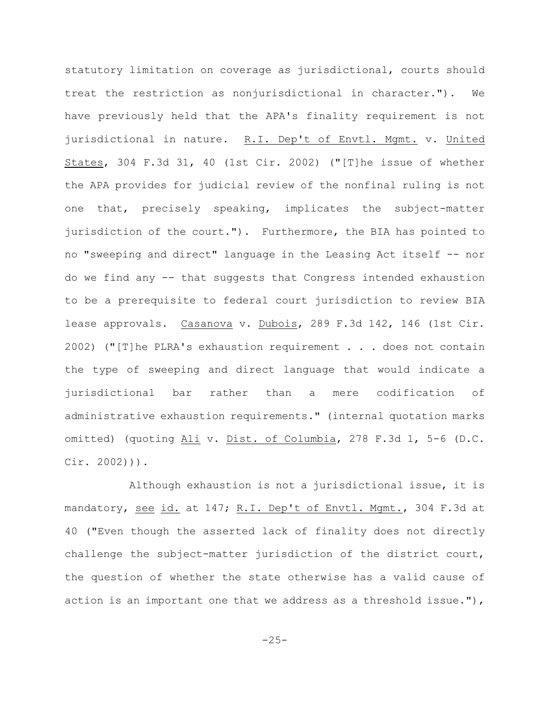statutory limitation on coverage as jurisdictional, courts should treat the restriction as nonjurisdictional in character."). We have previously held that the APA's finality requirement is not jurisdictional in nature. R.I. Dep't of Envtl. Mgmt. v. United States, 304 F.3d 31, 40 (1st Cir. 2002) ("[T]he issue of whether the APA provides for judicial review of the nonfinal ruling is not one that, precisely speaking, implicates the subject-matter jurisdiction of the court."). Furthermore, the BIA has pointed to no "sweeping and direct" language in the Leasing Act itself -- nor do we find any -- that suggests that Congress intended exhaustion to be a prerequisite to federal court jurisdiction to review BIA lease approvals. Casanova v. Dubois, 289 F.3d 142, 146 (1st Cir. 2002) ("[T]he PLRA's exhaustion requirement . . . does not contain the type of sweeping and direct language that would indicate a jurisdictional bar rather than a mere codification of administrative exhaustion requirements." (internal quotation marks omitted) (quoting Ali v. Dist. of Columbia, 278 F.3d 1, 5-6 (D.C. Cir. 2002))).

Although exhaustion is not a jurisdictional issue, it is mandatory, see id. at 147; R.I. Dep't of Envtl. Mgmt., 304 F.3d at 40 ("Even though the asserted lack of finality does not directly challenge the subject-matter jurisdiction of the district court, the question of whether the state otherwise has a valid cause of action is an important one that we address as a threshold issue."),

 $-25-$